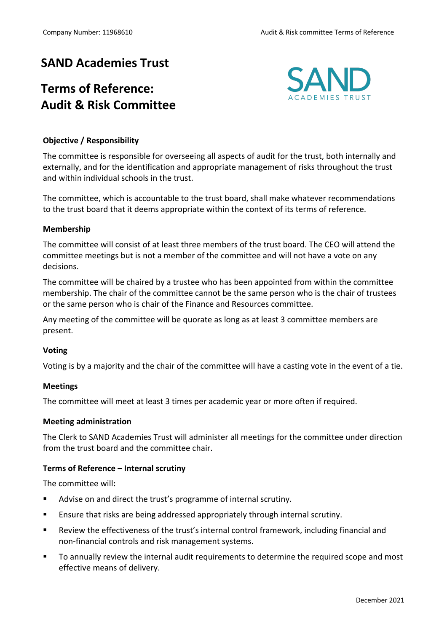## **SAND Academies Trust**

# **Terms of Reference: Audit & Risk Committee**



## **Objective / Responsibility**

The committee is responsible for overseeing all aspects of audit for the trust, both internally and externally, and for the identification and appropriate management of risks throughout the trust and within individual schools in the trust.

The committee, which is accountable to the trust board, shall make whatever recommendations to the trust board that it deems appropriate within the context of its terms of reference.

## **Membership**

The committee will consist of at least three members of the trust board. The CEO will attend the committee meetings but is not a member of the committee and will not have a vote on any decisions.

The committee will be chaired by a trustee who has been appointed from within the committee membership. The chair of the committee cannot be the same person who is the chair of trustees or the same person who is chair of the Finance and Resources committee.

Any meeting of the committee will be quorate as long as at least 3 committee members are present.

## **Voting**

Voting is by a majority and the chair of the committee will have a casting vote in the event of a tie.

## **Meetings**

The committee will meet at least 3 times per academic year or more often if required.

#### **Meeting administration**

The Clerk to SAND Academies Trust will administer all meetings for the committee under direction from the trust board and the committee chair.

## **Terms of Reference – Internal scrutiny**

The committee will**:**

- Advise on and direct the trust's programme of internal scrutiny.
- Ensure that risks are being addressed appropriately through internal scrutiny.
- § Review the effectiveness of the trust's internal control framework, including financial and non-financial controls and risk management systems.
- § To annually review the internal audit requirements to determine the required scope and most effective means of delivery.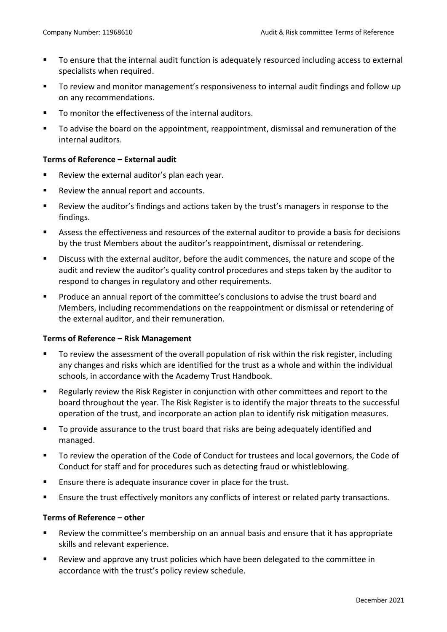- To ensure that the internal audit function is adequately resourced including access to external specialists when required.
- § To review and monitor management's responsiveness to internal audit findings and follow up on any recommendations.
- To monitor the effectiveness of the internal auditors.
- § To advise the board on the appointment, reappointment, dismissal and remuneration of the internal auditors.

## **Terms of Reference – External audit**

- Review the external auditor's plan each year.
- Review the annual report and accounts.
- Review the auditor's findings and actions taken by the trust's managers in response to the findings.
- Assess the effectiveness and resources of the external auditor to provide a basis for decisions by the trust Members about the auditor's reappointment, dismissal or retendering.
- § Discuss with the external auditor, before the audit commences, the nature and scope of the audit and review the auditor's quality control procedures and steps taken by the auditor to respond to changes in regulatory and other requirements.
- § Produce an annual report of the committee's conclusions to advise the trust board and Members, including recommendations on the reappointment or dismissal or retendering of the external auditor, and their remuneration.

## **Terms of Reference – Risk Management**

- § To review the assessment of the overall population of risk within the risk register, including any changes and risks which are identified for the trust as a whole and within the individual schools, in accordance with the Academy Trust Handbook.
- Regularly review the Risk Register in conjunction with other committees and report to the board throughout the year. The Risk Register is to identify the major threats to the successful operation of the trust, and incorporate an action plan to identify risk mitigation measures.
- To provide assurance to the trust board that risks are being adequately identified and managed.
- § To review the operation of the Code of Conduct for trustees and local governors, the Code of Conduct for staff and for procedures such as detecting fraud or whistleblowing.
- Ensure there is adequate insurance cover in place for the trust.
- Ensure the trust effectively monitors any conflicts of interest or related party transactions.

## **Terms of Reference – other**

- Review the committee's membership on an annual basis and ensure that it has appropriate skills and relevant experience.
- Review and approve any trust policies which have been delegated to the committee in accordance with the trust's policy review schedule.